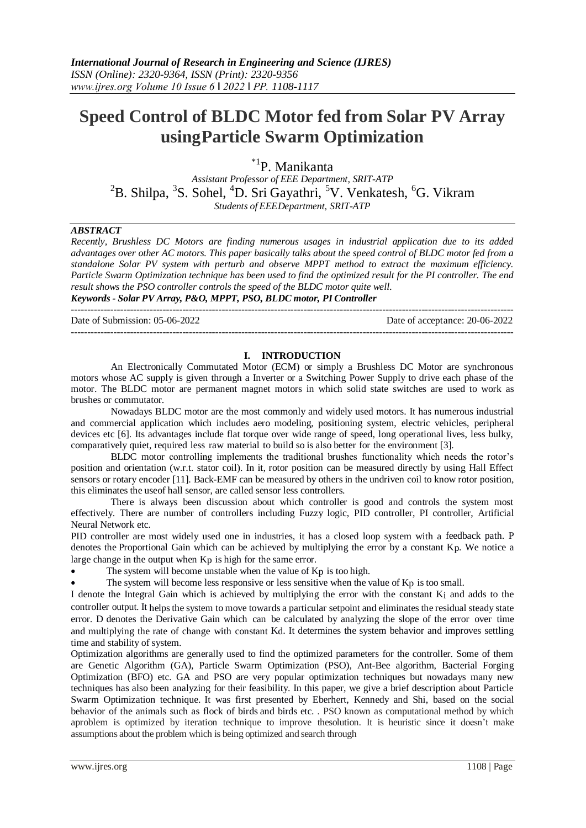# **Speed Control of BLDC Motor fed from Solar PV Array usingParticle Swarm Optimization**

\*1P. Manikanta

*Assistant Professor of EEE Department, SRIT-ATP*  ${}^{2}$ B. Shilpa,  ${}^{3}$ S. Sohel,  ${}^{4}$ D. Sri Gayathri,  ${}^{5}$ V. Venkatesh,  ${}^{6}$ G. Vikram *Students of EEEDepartment, SRIT-ATP*

# *ABSTRACT*

*Recently, Brushless DC Motors are finding numerous usages in industrial application due to its added advantages over other AC motors. This paper basically talks about the speed control of BLDC motor fed from a standalone Solar PV system with perturb and observe MPPT method to extract the maximum efficiency. Particle Swarm Optimization technique has been used to find the optimized result for the PI controller. The end result shows the PSO controller controls the speed of the BLDC motor quite well. Keywords - Solar PV Array, P&O, MPPT, PSO, BLDC motor, PI Controller*

Date of Submission: 05-06-2022 Date of acceptance: 20-06-2022

---------------------------------------------------------------------------------------------------------------------------------------

---------------------------------------------------------------------------------------------------------------------------------------

#### **I. INTRODUCTION**

An Electronically Commutated Motor (ECM) or simply a Brushless DC Motor are synchronous motors whose AC supply is given through a Inverter or a Switching Power Supply to drive each phase of the motor. The BLDC motor are permanent magnet motors in which solid state switches are used to work as brushes or commutator.

Nowadays BLDC motor are the most commonly and widely used motors. It has numerous industrial and commercial application which includes aero modeling, positioning system, electric vehicles, peripheral devices etc [6]. Its advantages include flat torque over wide range of speed, long operational lives, less bulky, comparatively quiet, required less raw material to build so is also better for the environment [3].

BLDC motor controlling implements the traditional brushes functionality which needs the rotor's position and orientation (w.r.t. stator coil). In it, rotor position can be measured directly by using Hall Effect sensors or rotary encoder [11]. Back-EMF can be measured by others in the undriven coil to know rotor position, this eliminates the useof hall sensor, are called sensor less controllers.

There is always been discussion about which controller is good and controls the system most effectively. There are number of controllers including Fuzzy logic, PID controller, PI controller, Artificial Neural Network etc.

PID controller are most widely used one in industries, it has a closed loop system with a feedback path. P denotes the Proportional Gain which can be achieved by multiplying the error by a constant Kp. We notice a large change in the output when Kp is high for the same error.

The system will become unstable when the value of Kp is too high.

The system will become less responsive or less sensitive when the value of Kp is too small.

I denote the Integral Gain which is achieved by multiplying the error with the constant Ki and adds to the controller output. It helps the system to move towards a particular setpoint and eliminates the residual steady state error. D denotes the Derivative Gain which can be calculated by analyzing the slope of the error over time and multiplying the rate of change with constant Kd. It determines the system behavior and improves settling time and stability of system.

Optimization algorithms are generally used to find the optimized parameters for the controller. Some of them are Genetic Algorithm (GA), Particle Swarm Optimization (PSO), Ant-Bee algorithm, Bacterial Forging Optimization (BFO) etc. GA and PSO are very popular optimization techniques but nowadays many new techniques has also been analyzing for their feasibility. In this paper, we give a brief description about Particle Swarm Optimization technique. It was first presented by Eberhert, Kennedy and Shi, based on the social behavior of the animals such as flock of birds and birds etc. . PSO known as computational method by which aproblem is optimized by iteration technique to improve thesolution. It is heuristic since it doesn't make assumptions about the problem which is being optimized and search through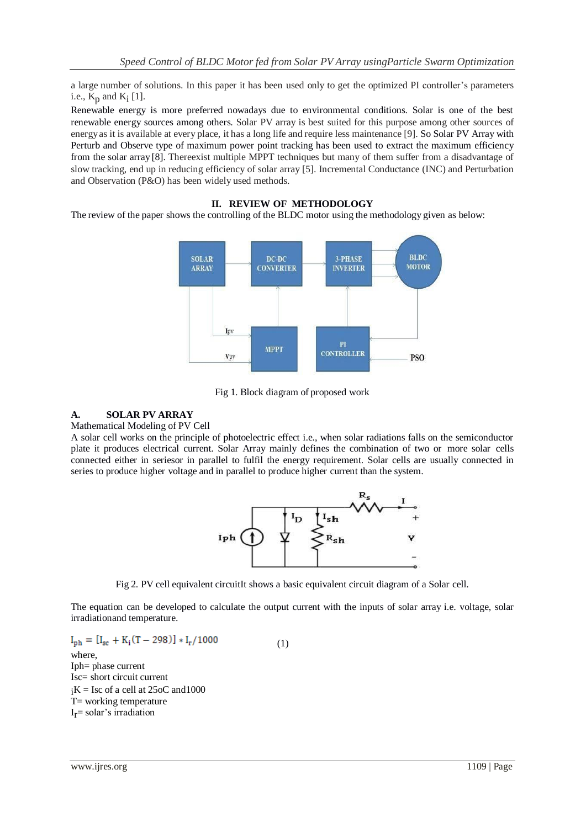a large number of solutions. In this paper it has been used only to get the optimized PI controller's parameters i.e.,  $K_p$  and  $K_i$  [1].

Renewable energy is more preferred nowadays due to environmental conditions. Solar is one of the best renewable energy sources among others. Solar PV array is best suited for this purpose among other sources of energyas it is available at every place, it has a long life and require less maintenance [9]. So Solar PV Array with Perturb and Observe type of maximum power point tracking has been used to extract the maximum efficiency from the solar array [8]. Thereexist multiple MPPT techniques but many of them suffer from a disadvantage of slow tracking, end up in reducing efficiency of solar array [5]. Incremental Conductance (INC) and Perturbation and Observation (P&O) has been widely used methods.

# **II. REVIEW OF METHODOLOGY**

The review of the paper shows the controlling of the BLDC motor using the methodology given as below:



Fig 1. Block diagram of proposed work

# **A. SOLAR PV ARRAY**

# Mathematical Modeling of PV Cell

A solar cell works on the principle of photoelectric effect i.e., when solar radiations falls on the semiconductor plate it produces electrical current. Solar Array mainly defines the combination of two or more solar cells connected either in seriesor in parallel to fulfil the energy requirement. Solar cells are usually connected in series to produce higher voltage and in parallel to produce higher current than the system.



Fig 2. PV cell equivalent circuitIt shows a basic equivalent circuit diagram of a Solar cell.

The equation can be developed to calculate the output current with the inputs of solar array i.e. voltage, solar irradiationand temperature.

$$
I_{ph} = [I_{sc} + K_i(T - 298)] * I_r/1000
$$
  
where,  
Iph= phase current  
Isc= short circuit current  
 ${}_iK$  = Isc of a cell at 25oC and 1000  
 $T$ = working temperature  
 $I_r$ = solar's irradiation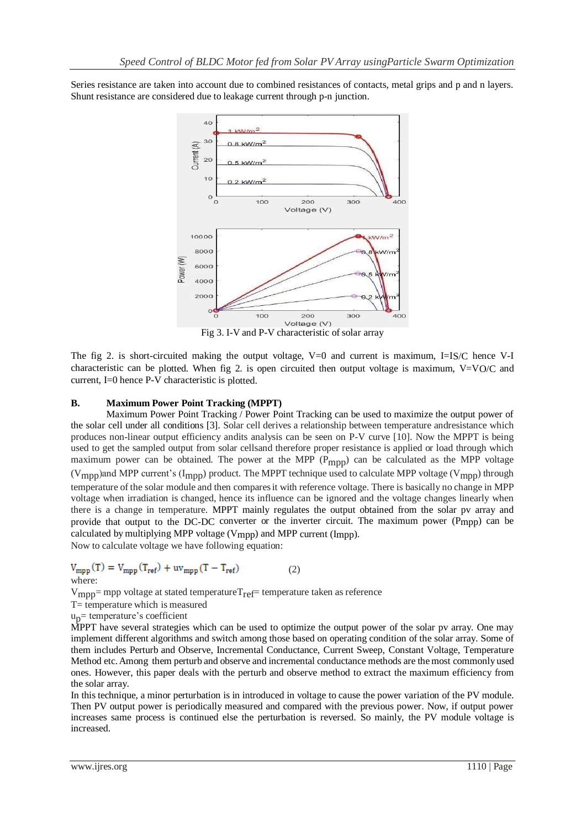Series resistance are taken into account due to combined resistances of contacts, metal grips and p and n layers. Shunt resistance are considered due to leakage current through p-n junction.



Fig 3. I-V and P-V characteristic of solar array

The fig 2. is short-circuited making the output voltage, V=0 and current is maximum, I=IS/C hence V-I characteristic can be plotted. When fig 2. is open circuited then output voltage is maximum, V=VO/C and current, I=0 hence P-V characteristic is plotted.

## **B. Maximum Power Point Tracking (MPPT)**

Maximum Power Point Tracking / Power Point Tracking can be used to maximize the output power of the solar cell under all conditions [3]. Solar cell derives a relationship between temperature andresistance which produces non-linear output efficiency andits analysis can be seen on P-V curve [10]. Now the MPPT is being used to get the sampled output from solar cellsand therefore proper resistance is applied or load through which maximum power can be obtained. The power at the MPP (P<sub>mpp</sub>) can be calculated as the MPP voltage (V<sub>mpp</sub>)and MPP current's (I<sub>mpp</sub>) product. The MPPT technique used to calculate MPP voltage (V<sub>mpp</sub>) through temperature of the solar module and then comparesit with reference voltage. There is basically no change in MPP voltage when irradiation is changed, hence its influence can be ignored and the voltage changes linearly when there is a change in temperature. MPPT mainly regulates the output obtained from the solar pv array and provide that output to the DC-DC converter or the inverter circuit. The maximum power (Pmpp) can be calculated by multiplying MPP voltage (Vmpp) and MPP current (Impp). Now to calculate voltage we have following equation:

 $V_{\text{mpp}}(T) = V_{\text{mpp}}(T_{\text{ref}}) + uv_{\text{mpp}}(T - T_{\text{ref}})$  (2) where:

 $V_{\text{mnp}}$ = mpp voltage at stated temperature $T_{\text{ref}}$ = temperature taken as reference

T= temperature which is measured

 $u_p$ = temperature's coefficient

MPPT have several strategies which can be used to optimize the output power of the solar pv array. One may implement different algorithms and switch among those based on operating condition of the solar array. Some of them includes Perturb and Observe, Incremental Conductance, Current Sweep, Constant Voltage, Temperature Method etc.Among them perturb and observe and incremental conductance methods are themost commonly used ones. However, this paper deals with the perturb and observe method to extract the maximum efficiency from the solar array.

In this technique, a minor perturbation is in introduced in voltage to cause the power variation of the PV module. Then PV output power is periodically measured and compared with the previous power. Now, if output power increases same process is continued else the perturbation is reversed. So mainly, the PV module voltage is increased.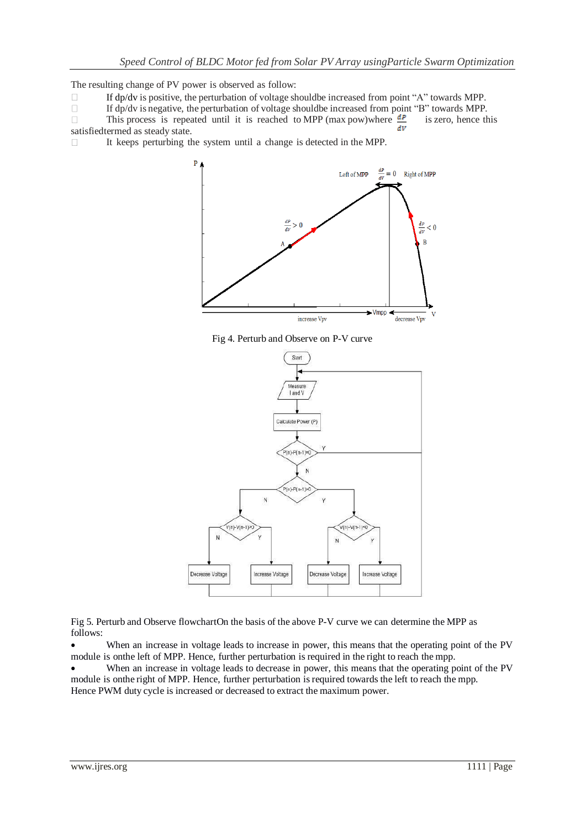The resulting change of PV power is observed as follow:

- If dp/dv is positive, the perturbation of voltage shouldbe increased from point "A" towards MPP.  $\Box$
- $\Box$ If dp/dv is negative, the perturbation of voltage shouldbe increased from point "B" towards MPP.
- This process is repeated until it is reached to MPP (max pow)where  $\frac{dP}{dr}$  is zero, hence this  $\Box$ satisfiedtermed as steady state.

It keeps perturbing the system until a change is detected in the MPP.  $\Box$ 



Fig 4. Perturb and Observe on P-V curve



Fig 5. Perturb and Observe flowchartOn the basis of the above P-V curve we can determine the MPP as follows:

 When an increase in voltage leads to increase in power, this means that the operating point of the PV module is onthe left of MPP. Hence, further perturbation is required in the right to reach the mpp.

 When an increase in voltage leads to decrease in power, this means that the operating point of the PV module is onthe right of MPP. Hence, further perturbation isrequired towards the left to reach the mpp. Hence PWM duty cycle is increased or decreased to extract the maximum power.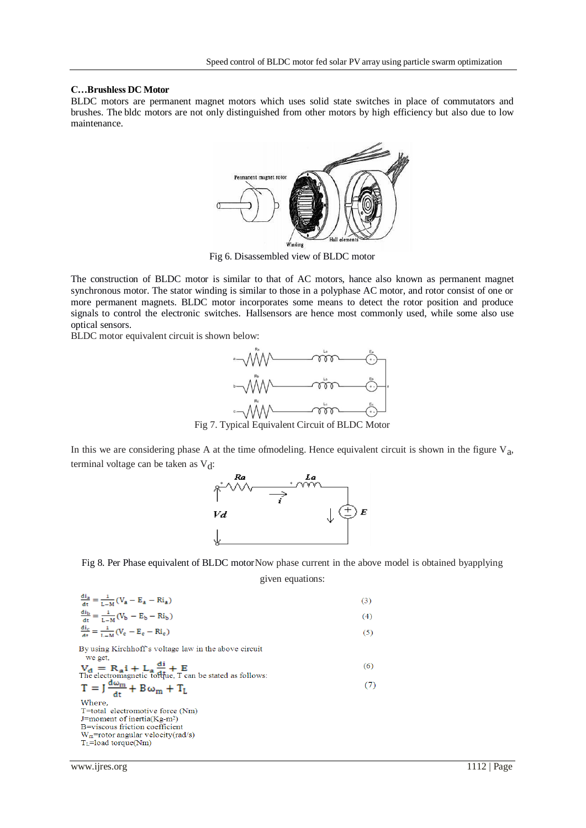#### **C…Brushless DC Motor**

BLDC motors are permanent magnet motors which uses solid state switches in place of commutators and brushes. The bldc motors are not only distinguished from other motors by high efficiency but also due to low maintenance.



Fig 6. Disassembled view of BLDC motor

The construction of BLDC motor is similar to that of AC motors, hance also known as permanent magnet synchronous motor. The stator winding is similar to those in a polyphase AC motor, and rotor consist of one or more permanent magnets. BLDC motor incorporates some means to detect the rotor position and produce signals to control the electronic switches. Hallsensors are hence most commonly used, while some also use optical sensors.

BLDC motor equivalent circuit is shown below:



Fig 7. Typical Equivalent Circuit of BLDC Motor

In this we are considering phase A at the time of modeling. Hence equivalent circuit is shown in the figure  $V_a$ , terminal voltage can be taken as  $V<sub>d</sub>$ :



Fig 8. Per Phase equivalent of BLDC motorNow phase current in the above model is obtained byapplying

given equations:

$$
\frac{di_a}{dt} = \frac{1}{L-M}(V_a - E_a - Ri_a)
$$
\n
$$
\frac{di_b}{dt} = \frac{1}{L-M}(V_b - E_b - Ri_b)
$$
\n
$$
\frac{di_c}{dt} = \frac{1}{L-M}(V_c - E_c - Ri_c)
$$
\nBy using Kirchhoff's voltage law in the above circuit  
\nwe get,  
\n
$$
V_d = R_d i + L_d \frac{di}{dt} + E
$$
\nThe electromagnetic to  
\nThe electromagnetic to  
\n $T = J \frac{d\omega_m}{dt} + B\omega_m + T_L$ \n(6)  
\nWhere,  
\n $T = \text{total}$  electromagnetic to  
\n $J = \text{constant}$   
\n $J = \text{constant}$   
\n $V_m = \text{rotor angular velocity}(\text{rad/s})$ \n $T_L = \text{load torque}(\text{Nm})$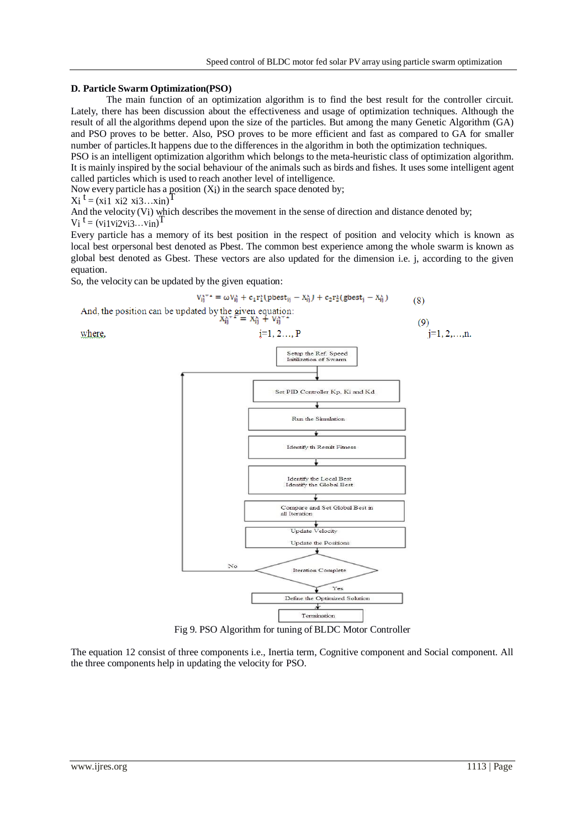#### **D. Particle Swarm Optimization(PSO)**

The main function of an optimization algorithm is to find the best result for the controller circuit. Lately, there has been discussion about the effectiveness and usage of optimization techniques. Although the result of all the algorithms depend upon the size of the particles. But among the many Genetic Algorithm (GA) and PSO proves to be better. Also, PSO proves to be more efficient and fast as compared to GA for smaller number of particles.It happens due to the differences in the algorithm in both the optimization techniques.

PSO is an intelligent optimization algorithm which belongs to the meta-heuristic class of optimization algorithm. It is mainly inspired by the social behaviour of the animals such as birds and fishes. It uses some intelligent agent called particles which is used to reach another level of intelligence.

Now every particle has a position  $(X_i)$  in the search space denoted by;<br> $X_i^t = (x_i 1 \ x_i 2 \ x_i 3...x_{in})^T$ 

$$
Xi^{\mathsf{T}} = (x_1 1 x_1 2 x_1 3 \ldots x_{n})
$$

And the velocity (Vi) which describes the movement in the sense of direction and distance denoted by;  $V_i$ <sup>t</sup> = (vi1vi2vi3...vin)<sup>T</sup>

Every particle has a memory of its best position in the respect of position and velocity which is known as local best orpersonal best denoted as Pbest. The common best experience among the whole swarm is known as global best denoted as Gbest. These vectors are also updated for the dimension i.e. j, according to the given equation.

So, the velocity can be updated by the given equation:



Fig 9. PSO Algorithm for tuning of BLDC Motor Controller

The equation 12 consist of three components i.e., Inertia term, Cognitive component and Social component. All the three components help in updating the velocity for PSO.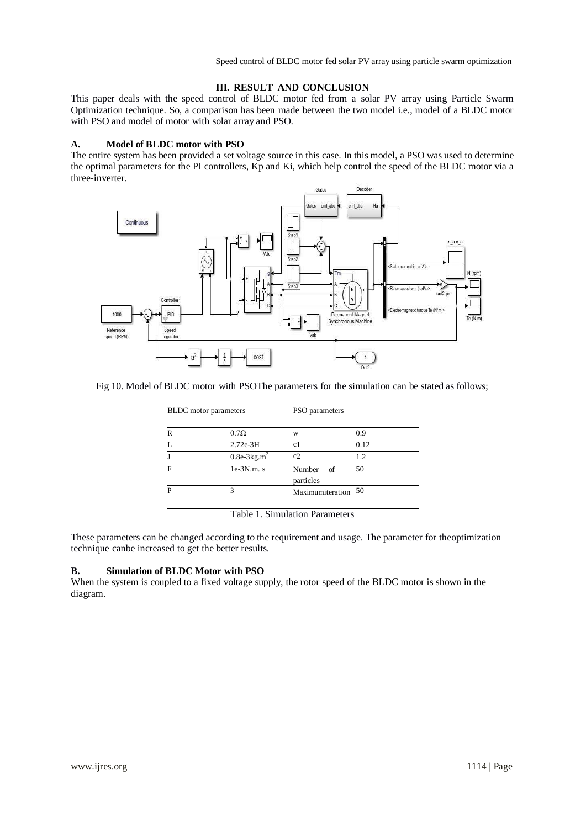## **III. RESULT AND CONCLUSION**

This paper deals with the speed control of BLDC motor fed from a solar PV array using Particle Swarm Optimization technique. So, a comparison has been made between the two model i.e., model of a BLDC motor with PSO and model of motor with solar array and PSO.

### **A. Model of BLDC motor with PSO**

The entire system has been provided a set voltage source in this case. In this model, a PSO was used to determine the optimal parameters for the PI controllers, Kp and Ki, which help control the speed of the BLDC motor via a three-inverter.



#### Fig 10. Model of BLDC motor with PSOThe parameters for the simulation can be stated as follows;

| <b>BLDC</b> motor parameters |               | PSO parameters                 |      |  |  |
|------------------------------|---------------|--------------------------------|------|--|--|
| R                            | $0.7\Omega$   | W                              | 0.9  |  |  |
| L                            | 2.72e-3H      | c1                             | 0.12 |  |  |
| J                            | $0.8e-3kg.m2$ | c2                             | 1.2  |  |  |
| F                            | $1e-3N.m. s$  | Number<br>- of<br>particles    | 50   |  |  |
| P                            |               | Maximumiteration               | 50   |  |  |
|                              |               | Table 1. Simulation Parameters |      |  |  |

These parameters can be changed according to the requirement and usage. The parameter for theoptimization technique canbe increased to get the better results.

### **B. Simulation of BLDC Motor with PSO**

When the system is coupled to a fixed voltage supply, the rotor speed of the BLDC motor is shown in the diagram.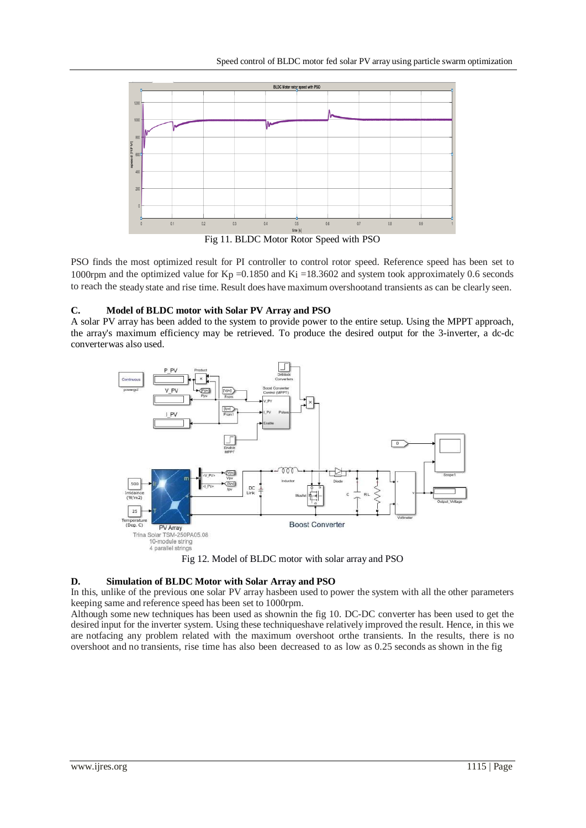

Fig 11. BLDC Motor Rotor Speed with PSO

PSO finds the most optimized result for PI controller to control rotor speed. Reference speed has been set to 1000rpm and the optimized value for  $K_p = 0.1850$  and  $K_i = 18.3602$  and system took approximately 0.6 seconds to reach the steadystate and rise time. Result does have maximum overshootand transients as can be clearly seen.

## **C. Model of BLDC motor with Solar PV Array and PSO**

A solar PV array has been added to the system to provide power to the entire setup. Using the MPPT approach, the array's maximum efficiency may be retrieved. To produce the desired output for the 3-inverter, a dc-dc converterwas also used.



Fig 12. Model of BLDC motor with solar array and PSO

## **D. Simulation of BLDC Motor with Solar Array and PSO**

In this, unlike of the previous one solar PV array hasbeen used to power the system with all the other parameters keeping same and reference speed has been set to 1000rpm.

Although some new techniques has been used as shownin the fig 10. DC-DC converter has been used to get the desired input for the inverter system. Using these techniqueshave relatively improved the result. Hence, in this we are notfacing any problem related with the maximum overshoot orthe transients. In the results, there is no overshoot and no transients, rise time has also been decreased to as low as 0.25 seconds as shown in the fig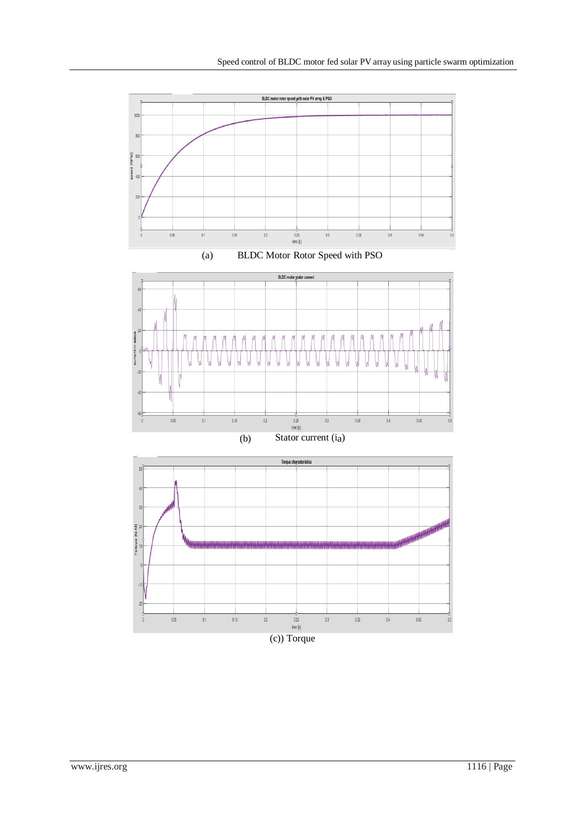